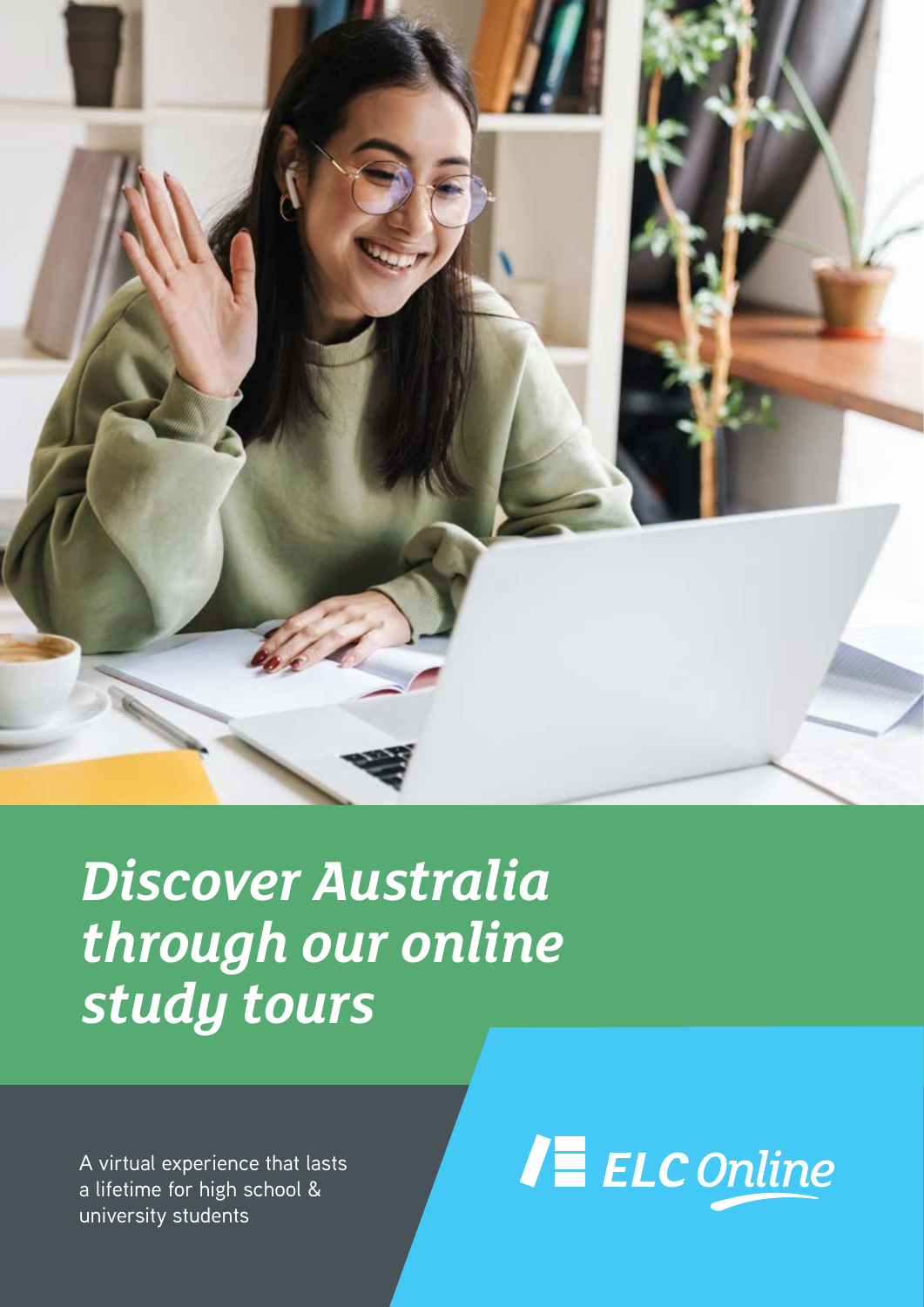

*Discover Australia through our online study tours*

A virtual experience that lasts a lifetime for high school & university students

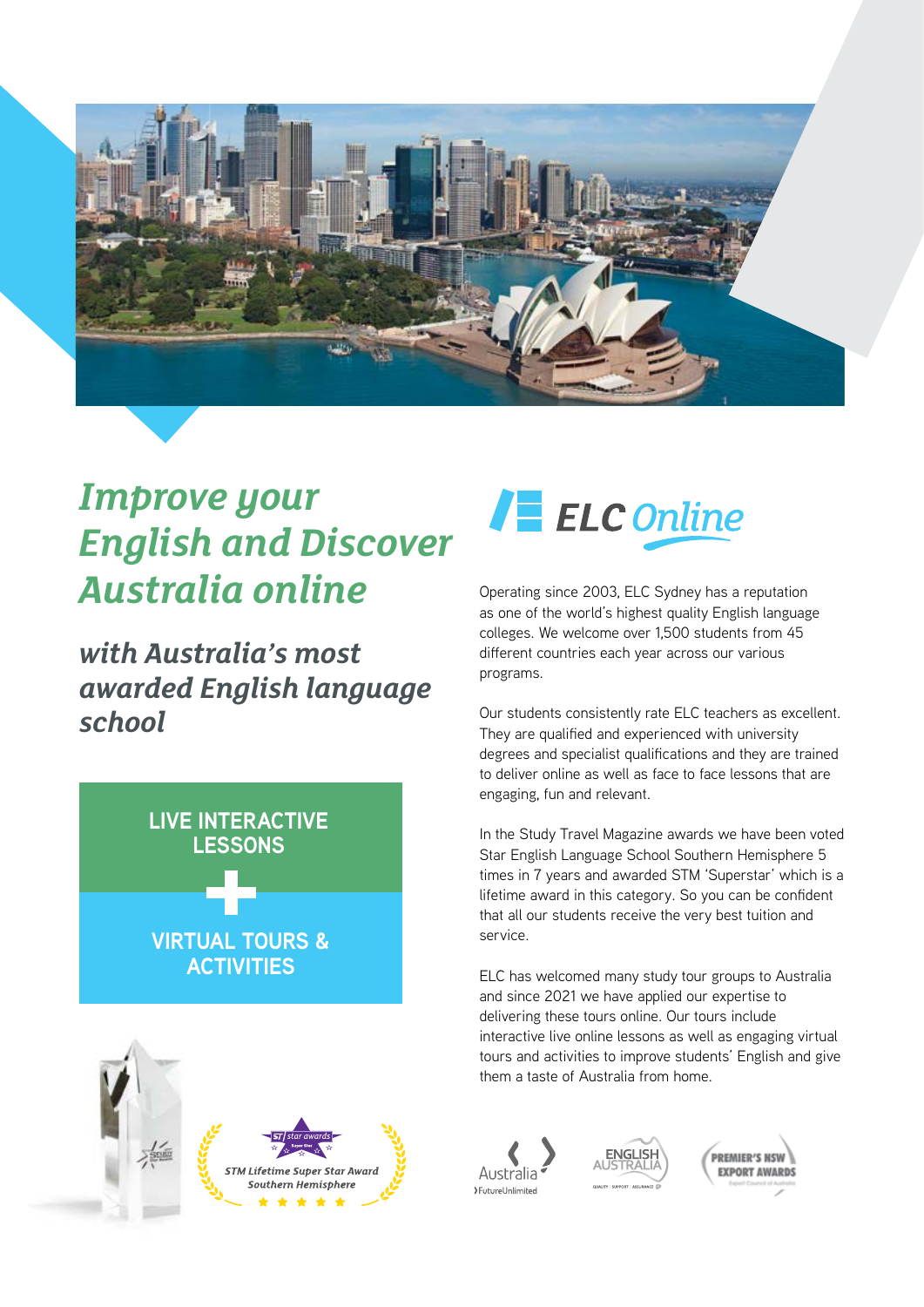

## *Improve your English and Discover Australia online*

*with Australia's most awarded English language school*





Operating since 2003, ELC Sydney has a reputation as one of the world's highest quality English language colleges. We welcome over 1,500 students from 45 different countries each year across our various programs.

Our students consistently rate ELC teachers as excellent. They are qualified and experienced with university degrees and specialist qualifications and they are trained to deliver online as well as face to face lessons that are engaging, fun and relevant.

In the Study Travel Magazine awards we have been voted Star English Language School Southern Hemisphere 5 times in 7 years and awarded STM 'Superstar' which is a lifetime award in this category. So you can be confident that all our students receive the very best tuition and service.

ELC has welcomed many study tour groups to Australia and since 2021 we have applied our expertise to delivering these tours online. Our tours include interactive live online lessons as well as engaging virtual tours and activities to improve students' English and give them a taste of Australia from home.







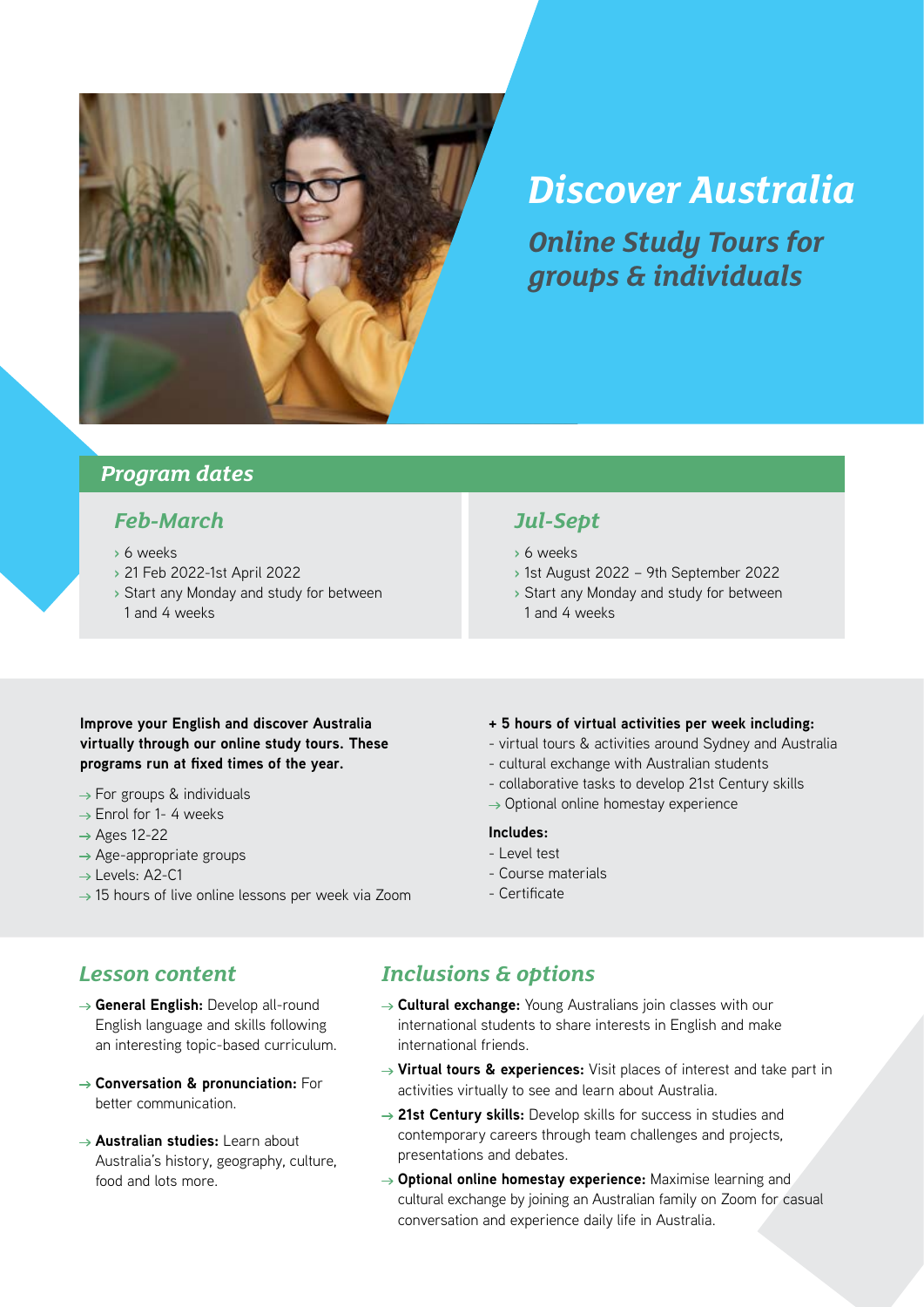

## *Discover Australia*

*Online Study Tours for groups & individuals*

### *Program dates*

### *Feb-March*

- **›** 6 weeks
- **›** 21 Feb 2022-1st April 2022
- **›** Start any Monday and study for between 1 and 4 weeks

### *Jul-Sept*

- **›** 6 weeks
- **›** 1st August 2022 9th September 2022
- **›** Start any Monday and study for between 1 and 4 weeks

#### **Improve your English and discover Australia virtually through our online study tours. These programs run at fixed times of the year.**

- $\rightarrow$  For groups & individuals
- $\rightarrow$  Enrol for 1-4 weeks
- $\rightarrow$  Ages 12-22
- $\rightarrow$  Age-appropriate groups
- $\rightarrow$  Levels: A2-C1
- $\rightarrow$  15 hours of live online lessons per week via Zoom
- **+ 5 hours of virtual activities per week including:**
- virtual tours & activities around Sydney and Australia
- cultural exchange with Australian students
- collaborative tasks to develop 21st Century skills
- $\rightarrow$  Optional online homestay experience

#### **Includes:**

- Level test
- Course materials
- Certificate

### *Lesson content*

- **General English:** Develop all-round English language and skills following an interesting topic-based curriculum.
- **Conversation & pronunciation:** For better communication.
- **Australian studies:** Learn about Australia's history, geography, culture, food and lots more.

## *Inclusions & options*

- → **Cultural exchange:** Young Australians join classes with our international students to share interests in English and make international friends.
- → Virtual tours & experiences: Visit places of interest and take part in activities virtually to see and learn about Australia.
- → 21st Century skills: Develop skills for success in studies and contemporary careers through team challenges and projects, presentations and debates.
- **Optional online homestay experience:** Maximise learning and cultural exchange by joining an Australian family on Zoom for casual conversation and experience daily life in Australia.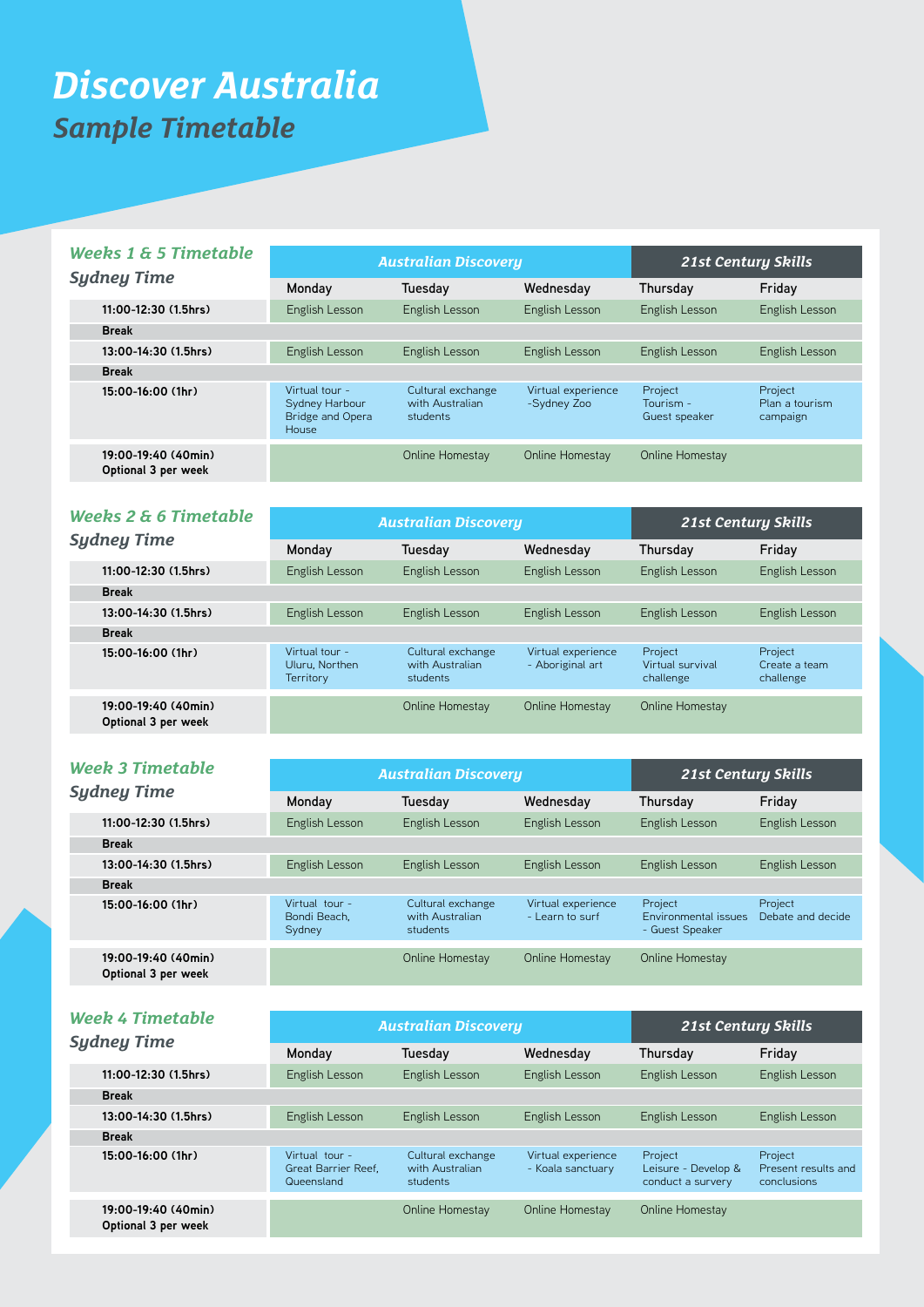## *Discover Australia Sample Timetable*

| <b>Weeks 1 &amp; 5 Timetable</b><br><b>Sydney Time</b> | <b>Australian Discovery</b>                                          |                                                  |                                   | <b>21st Century Skills</b>            |                                       |
|--------------------------------------------------------|----------------------------------------------------------------------|--------------------------------------------------|-----------------------------------|---------------------------------------|---------------------------------------|
|                                                        | Monday                                                               | Tuesday                                          | Wednesday                         | Thursday                              | Friday                                |
| 11:00-12:30 (1.5hrs)                                   | English Lesson                                                       | English Lesson                                   | English Lesson                    | English Lesson                        | English Lesson                        |
| <b>Break</b>                                           |                                                                      |                                                  |                                   |                                       |                                       |
| 13:00-14:30 (1.5hrs)                                   | English Lesson                                                       | English Lesson                                   | English Lesson                    | English Lesson                        | English Lesson                        |
| <b>Break</b>                                           |                                                                      |                                                  |                                   |                                       |                                       |
| $15:00-16:00(1hr)$                                     | Virtual tour -<br>Sydney Harbour<br><b>Bridge and Opera</b><br>House | Cultural exchange<br>with Australian<br>students | Virtual experience<br>-Sydney Zoo | Project<br>Tourism -<br>Guest speaker | Project<br>Plan a tourism<br>campaign |
| 19:00-19:40 (40min)<br>Optional 3 per week             |                                                                      | Online Homestay                                  | Online Homestay                   | Online Homestay                       |                                       |

| Weeks 2 & 6 Timetable<br><b>Sydney Time</b> | <b>Australian Discovery</b>                          |                                                  |                                        | <b>21st Century Skills</b>               |                                       |
|---------------------------------------------|------------------------------------------------------|--------------------------------------------------|----------------------------------------|------------------------------------------|---------------------------------------|
|                                             | Monday                                               | Tuesday                                          | Wednesday                              | Thursday                                 | Friday                                |
| $11:00-12:30(1.5)$                          | English Lesson                                       | English Lesson                                   | English Lesson                         | English Lesson                           | English Lesson                        |
| <b>Break</b>                                |                                                      |                                                  |                                        |                                          |                                       |
| 13:00-14:30 (1.5hrs)                        | English Lesson                                       | English Lesson                                   | English Lesson                         | English Lesson                           | English Lesson                        |
| <b>Break</b>                                |                                                      |                                                  |                                        |                                          |                                       |
| $15:00-16:00(1hr)$                          | Virtual tour -<br>Uluru, Northen<br><b>Territory</b> | Cultural exchange<br>with Australian<br>students | Virtual experience<br>- Aboriginal art | Project<br>Virtual survival<br>challenge | Project<br>Create a team<br>challenge |
| 19:00-19:40 (40min)<br>Optional 3 per week  |                                                      | Online Homestay                                  | Online Homestay                        | Online Homestay                          |                                       |

|  | <b>Week 3 Timetable</b> |
|--|-------------------------|
|--|-------------------------|

| Week 3 Timetable<br>Sydney Time            | <b>Australian Discovery</b>              |                                                  |                                       | <b>21st Century Skills</b>                         |                              |
|--------------------------------------------|------------------------------------------|--------------------------------------------------|---------------------------------------|----------------------------------------------------|------------------------------|
|                                            | Monday                                   | Tuesday                                          | Wednesday                             | Thursday                                           | Friday                       |
| 11:00-12:30 (1.5hrs)                       | English Lesson                           | English Lesson                                   | English Lesson                        | English Lesson                                     | English Lesson               |
| <b>Break</b>                               |                                          |                                                  |                                       |                                                    |                              |
| 13:00-14:30 (1.5hrs)                       | English Lesson                           | English Lesson                                   | English Lesson                        | English Lesson                                     | English Lesson               |
| <b>Break</b>                               |                                          |                                                  |                                       |                                                    |                              |
| $15:00-16:00(1hr)$                         | Virtual tour -<br>Bondi Beach.<br>Sydney | Cultural exchange<br>with Australian<br>students | Virtual experience<br>- Learn to surf | Project<br>Environmental issues<br>- Guest Speaker | Project<br>Debate and decide |
| 19:00-19:40 (40min)<br>Optional 3 per week |                                          | Online Homestay                                  | Online Homestay                       | Online Homestay                                    |                              |
|                                            |                                          |                                                  |                                       |                                                    |                              |

| Week 4 Timetable<br><b>Sydney Time</b>     | <b>Australian Discovery</b>                         |                                                  |                                         | <b>21st Century Skills</b>                          |                                               |
|--------------------------------------------|-----------------------------------------------------|--------------------------------------------------|-----------------------------------------|-----------------------------------------------------|-----------------------------------------------|
|                                            | Monday                                              | Tuesdav                                          | Wednesday                               | Thursday                                            | Friday                                        |
| $11:00-12:30(1.5)$                         | <b>English Lesson</b>                               | English Lesson                                   | English Lesson                          | English Lesson                                      | English Lesson                                |
| <b>Break</b>                               |                                                     |                                                  |                                         |                                                     |                                               |
| 13:00-14:30 (1.5hrs)                       | English Lesson                                      | English Lesson                                   | English Lesson                          | English Lesson                                      | English Lesson                                |
| <b>Break</b>                               |                                                     |                                                  |                                         |                                                     |                                               |
| $15:00-16:00(1hr)$                         | Virtual tour -<br>Great Barrier Reef.<br>Queensland | Cultural exchange<br>with Australian<br>students | Virtual experience<br>- Koala sanctuary | Project<br>Leisure - Develop &<br>conduct a survery | Project<br>Present results and<br>conclusions |
| 19:00-19:40 (40min)<br>Optional 3 per week |                                                     | Online Homestay                                  | Online Homestay                         | Online Homestay                                     |                                               |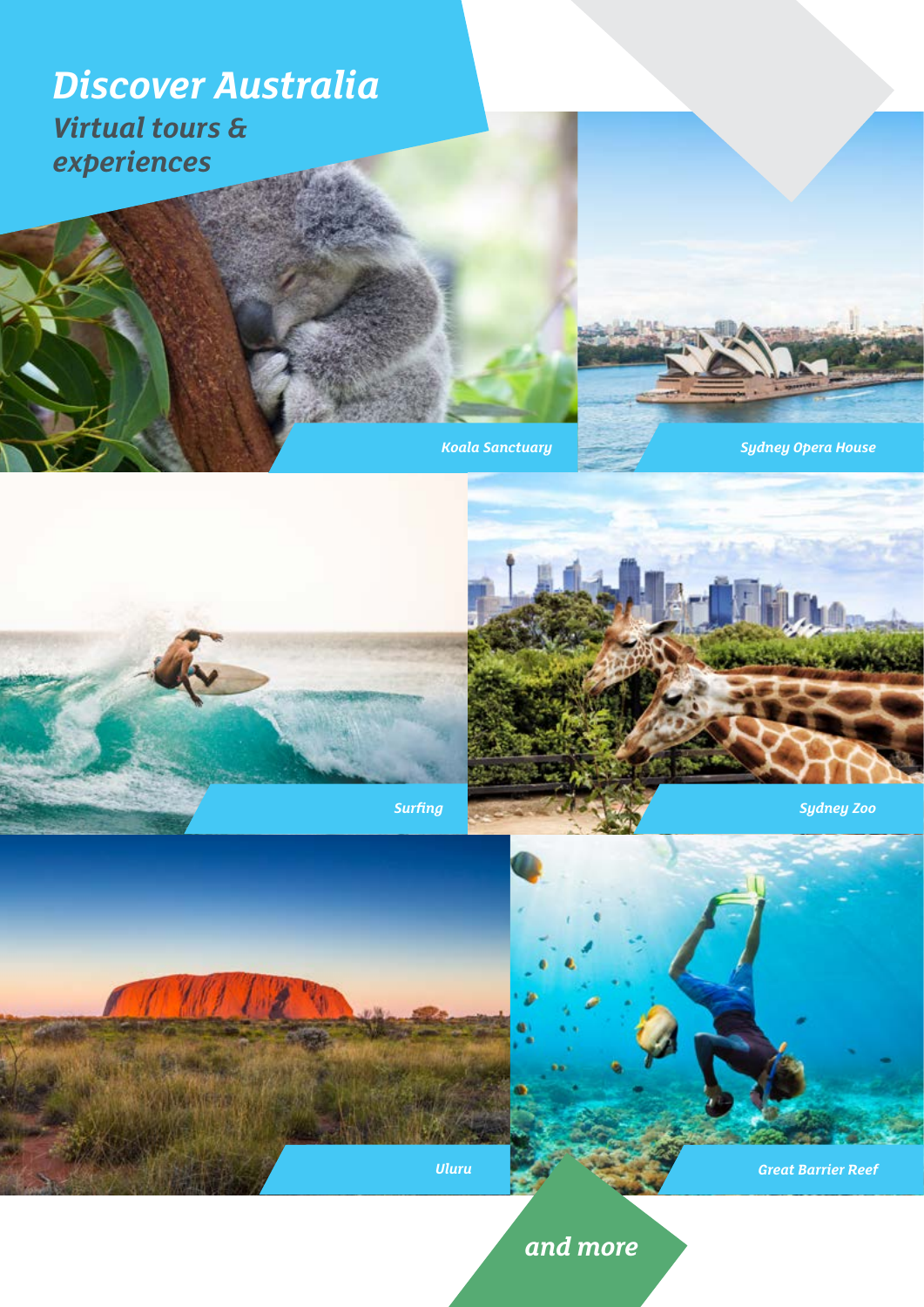## *Discover Australia Virtual tours & experiences*

*Koala Sanctuary Sydney Opera House*







*Great Barrier Reef* 

## *and more*

*Uluru*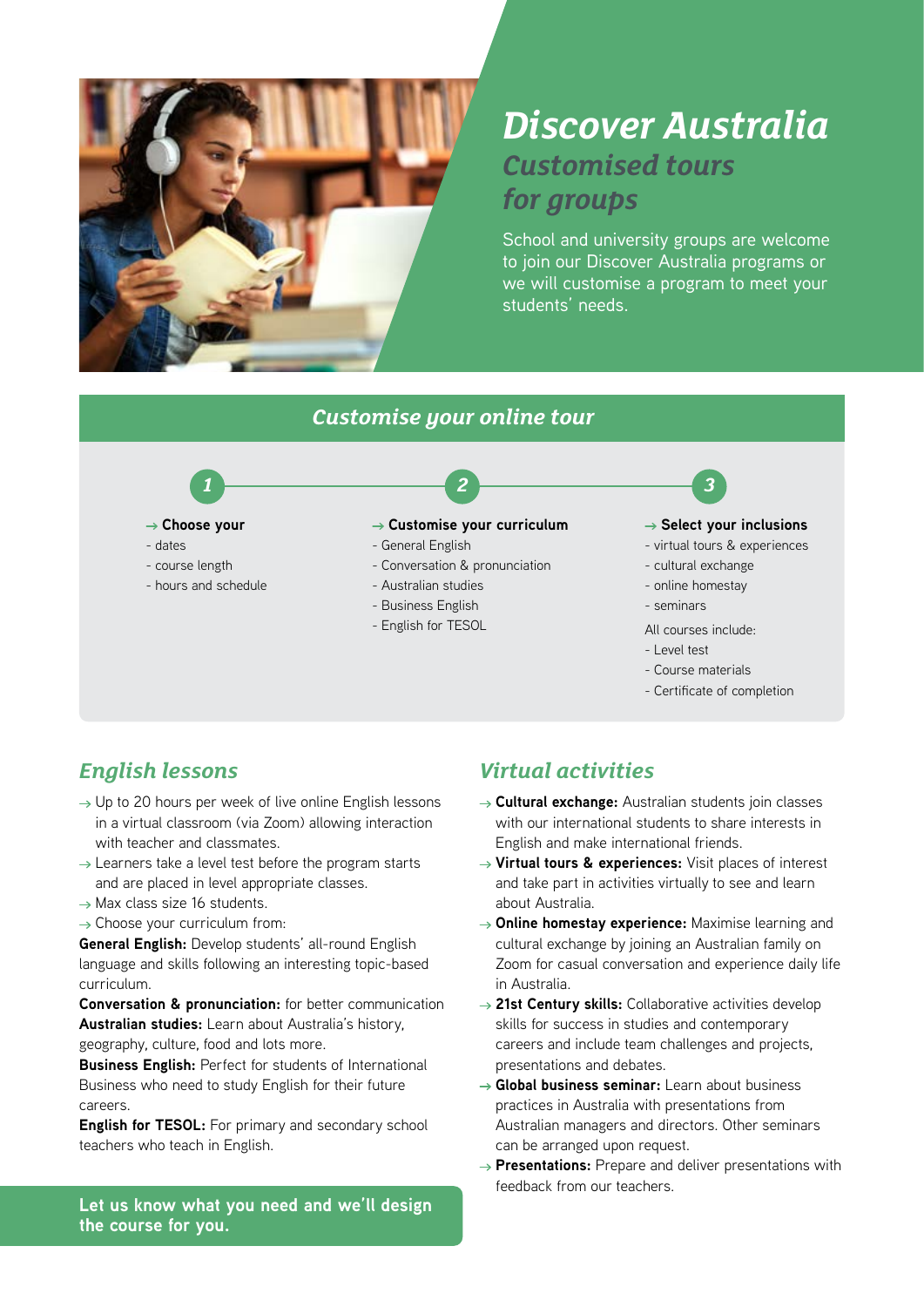

## *Discover Australia Customised tours for groups*

School and university groups are welcome to join our Discover Australia programs or we will customise a program to meet your students' needs.



## *English lessons*

- $\rightarrow$  Up to 20 hours per week of live online English lessons in a virtual classroom (via Zoom) allowing interaction with teacher and classmates.
- $\rightarrow$  Learners take a level test before the program starts and are placed in level appropriate classes.
- $\rightarrow$  Max class size 16 students.
- $\rightarrow$  Choose your curriculum from:

**General English:** Develop students' all-round English language and skills following an interesting topic-based curriculum.

**Conversation & pronunciation:** for better communication **Australian studies:** Learn about Australia's history, geography, culture, food and lots more.

**Business English:** Perfect for students of International Business who need to study English for their future careers.

**English for TESOL:** For primary and secondary school teachers who teach in English.

#### **Let us know what you need and we'll design the course for you.**

## *Virtual activities*

- **Cultural exchange:** Australian students join classes with our international students to share interests in English and make international friends.
- → Virtual tours & experiences: Visit places of interest and take part in activities virtually to see and learn about Australia.
- **Online homestay experience:** Maximise learning and cultural exchange by joining an Australian family on Zoom for casual conversation and experience daily life in Australia.
- → 21st Century skills: Collaborative activities develop skills for success in studies and contemporary careers and include team challenges and projects, presentations and debates.
- **Global business seminar:** Learn about business practices in Australia with presentations from Australian managers and directors. Other seminars can be arranged upon request.
- → **Presentations:** Prepare and deliver presentations with feedback from our teachers.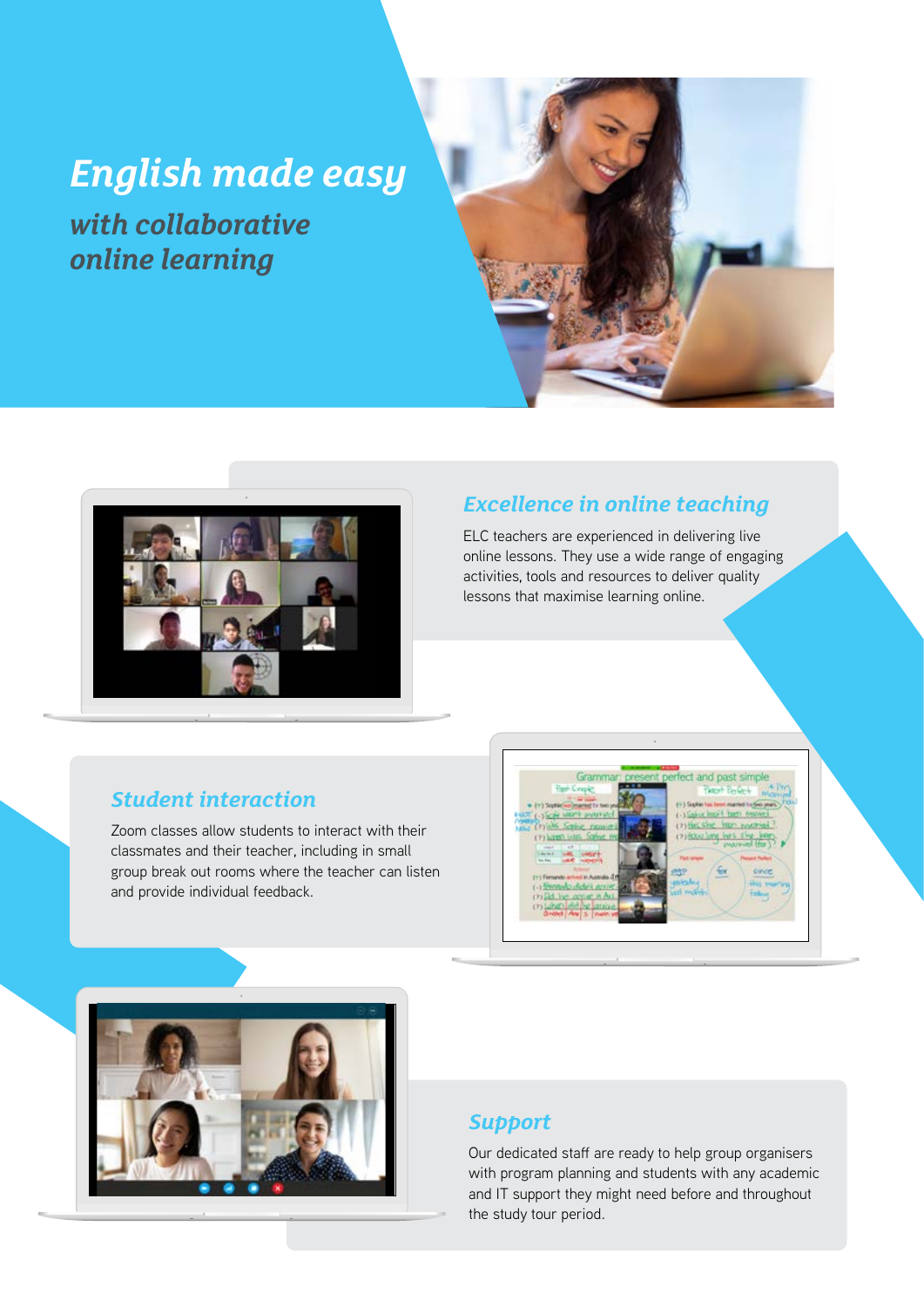## *English made easy*

*with collaborative online learning*





## *Excellence in online teaching*

ELC teachers are experienced in delivering live online lessons. They use a wide range of engaging activities, tools and resources to deliver quality lessons that maximise learning online.

## *Student interaction*

Zoom classes allow students to interact with their classmates and their teacher, including in small group break out rooms where the teacher can listen and provide individual feedback.





## *Support*

Our dedicated staff are ready to help group organisers with program planning and students with any academic and IT support they might need before and throughout the study tour period.